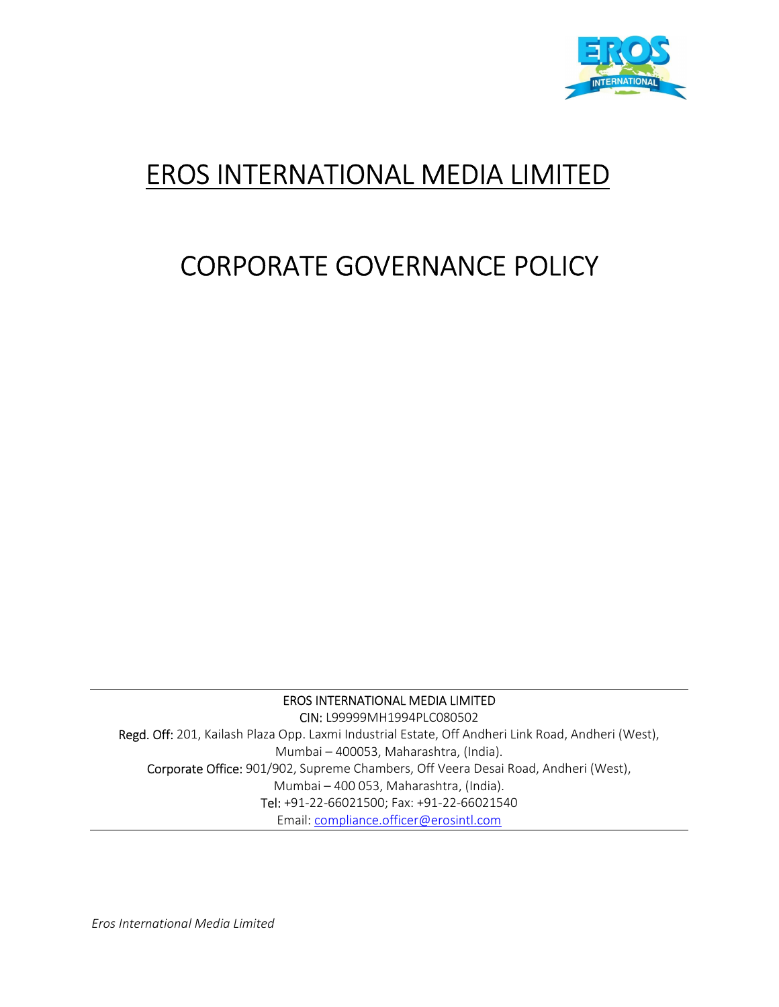

# EROS INTERNATIONAL MEDIA LIMITED

# CORPORATE GOVERNANCE POLICY

EROS INTERNATIONAL MEDIA LIMITED

CIN: L99999MH1994PLC080502 Regd. Off: 201, Kailash Plaza Opp. Laxmi Industrial Estate, Off Andheri Link Road, Andheri (West), Mumbai – 400053, Maharashtra, (India). Corporate Office: 901/902, Supreme Chambers, Off Veera Desai Road, Andheri (West), Mumbai – 400 053, Maharashtra, (India). Tel: +91-22-66021500; Fax: +91-22-66021540 Email: compliance.officer@erosintl.com

Eros International Media Limited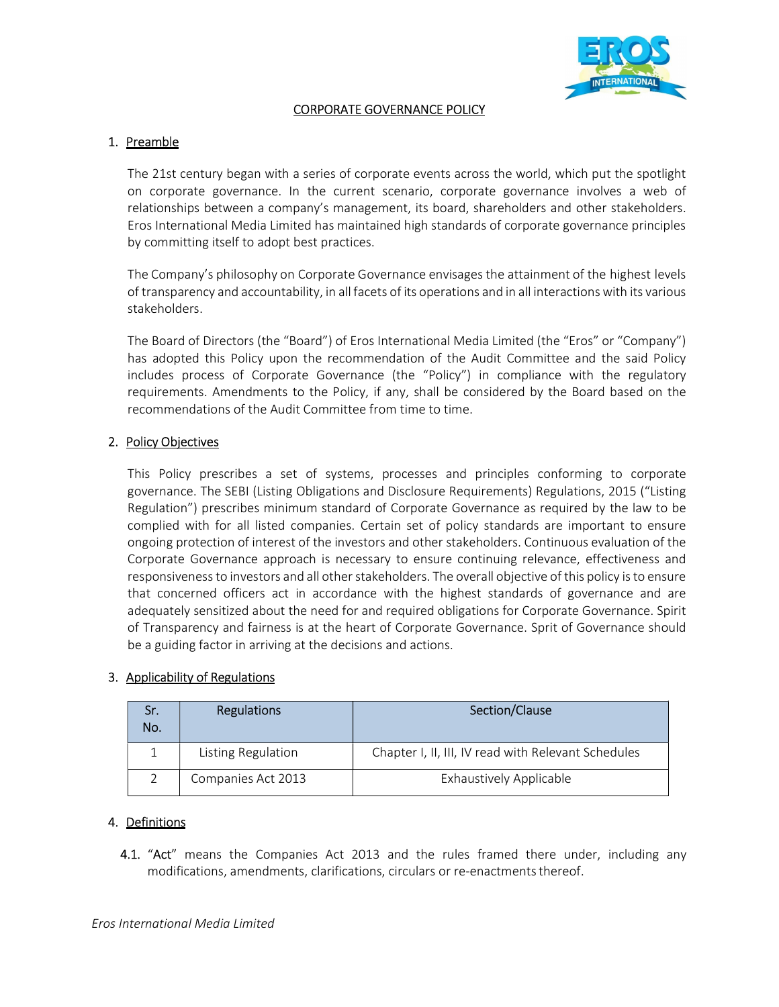

## CORPORATE GOVERNANCE POLICY

#### 1. Preamble

The 21st century began with a series of corporate events across the world, which put the spotlight on corporate governance. In the current scenario, corporate governance involves a web of relationships between a company's management, its board, shareholders and other stakeholders. Eros International Media Limited has maintained high standards of corporate governance principles by committing itself to adopt best practices.

The Company's philosophy on Corporate Governance envisages the attainment of the highest levels of transparency and accountability, in all facets of its operations and in all interactions with its various stakeholders.

The Board of Directors (the "Board") of Eros International Media Limited (the "Eros" or "Company") has adopted this Policy upon the recommendation of the Audit Committee and the said Policy includes process of Corporate Governance (the "Policy") in compliance with the regulatory requirements. Amendments to the Policy, if any, shall be considered by the Board based on the recommendations of the Audit Committee from time to time.

## 2. Policy Objectives

This Policy prescribes a set of systems, processes and principles conforming to corporate governance. The SEBI (Listing Obligations and Disclosure Requirements) Regulations, 2015 ("Listing Regulation") prescribes minimum standard of Corporate Governance as required by the law to be complied with for all listed companies. Certain set of policy standards are important to ensure ongoing protection of interest of the investors and other stakeholders. Continuous evaluation of the Corporate Governance approach is necessary to ensure continuing relevance, effectiveness and responsiveness to investors and all other stakeholders. The overall objective of this policy is to ensure that concerned officers act in accordance with the highest standards of governance and are adequately sensitized about the need for and required obligations for Corporate Governance. Spirit of Transparency and fairness is at the heart of Corporate Governance. Sprit of Governance should be a guiding factor in arriving at the decisions and actions.

#### 3. Applicability of Regulations

| Sr.<br>No. | <b>Regulations</b> | Section/Clause                                      |
|------------|--------------------|-----------------------------------------------------|
|            | Listing Regulation | Chapter I, II, III, IV read with Relevant Schedules |
|            | Companies Act 2013 | <b>Exhaustively Applicable</b>                      |

#### 4. Definitions

4.1. "Act" means the Companies Act 2013 and the rules framed there under, including any modifications, amendments, clarifications, circulars or re-enactments thereof.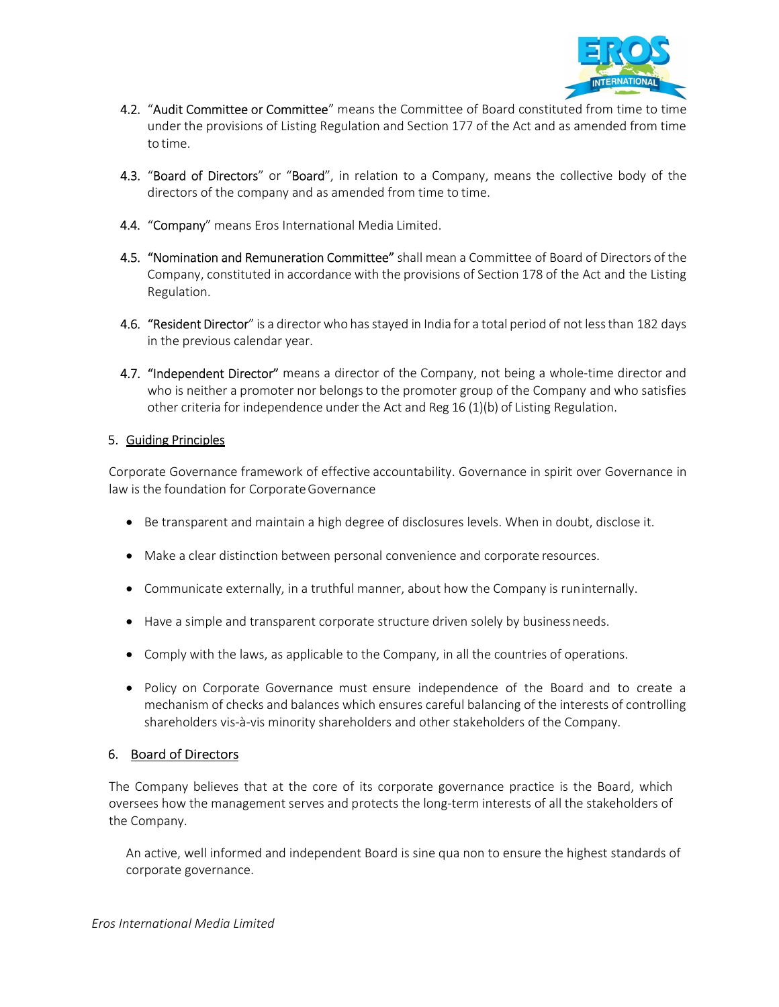

- 4.2. "Audit Committee or Committee" means the Committee of Board constituted from time to time under the provisions of Listing Regulation and Section 177 of the Act and as amended from time to time.
- 4.3. "Board of Directors" or "Board", in relation to a Company, means the collective body of the directors of the company and as amended from time to time.
- 4.4. "Company" means Eros International Media Limited.
- 4.5. "Nomination and Remuneration Committee" shall mean a Committee of Board of Directors of the Company, constituted in accordance with the provisions of Section 178 of the Act and the Listing Regulation.
- 4.6. "Resident Director" is a director who has stayed in India for a total period of not less than 182 days in the previous calendar year.
- 4.7. "Independent Director" means a director of the Company, not being a whole-time director and who is neither a promoter nor belongs to the promoter group of the Company and who satisfies other criteria for independence under the Act and Reg 16 (1)(b) of Listing Regulation.

# 5. Guiding Principles

Corporate Governance framework of effective accountability. Governance in spirit over Governance in law is the foundation for Corporate Governance

- **Be transparent and maintain a high degree of disclosures levels. When in doubt, disclose it.**
- Make a clear distinction between personal convenience and corporate resources.
- Communicate externally, in a truthful manner, about how the Company is run internally.
- Have a simple and transparent corporate structure driven solely by business needs.
- Comply with the laws, as applicable to the Company, in all the countries of operations.
- Policy on Corporate Governance must ensure independence of the Board and to create a mechanism of checks and balances which ensures careful balancing of the interests of controlling shareholders vis-à-vis minority shareholders and other stakeholders of the Company.

# 6. Board of Directors

The Company believes that at the core of its corporate governance practice is the Board, which oversees how the management serves and protects the long-term interests of all the stakeholders of the Company.

An active, well informed and independent Board is sine qua non to ensure the highest standards of corporate governance.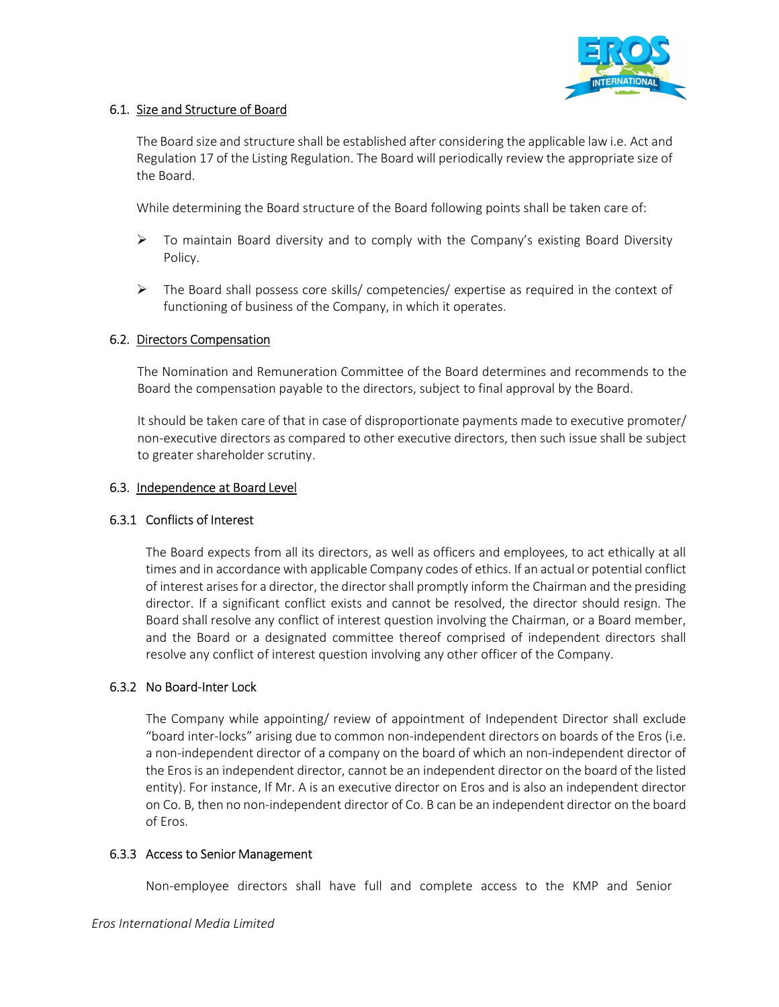

# 6.1. Size and Structure of Board

The Board size and structure shall be established after considering the applicable law i.e. Act and Regulation 17 of the Listing Regulation. The Board will periodically review the appropriate size of the Board.

While determining the Board structure of the Board following points shall be taken care of:

- $\triangleright$  To maintain Board diversity and to comply with the Company's existing Board Diversity Policy.
- The Board shall possess core skills/ competencies/ expertise as required in the context of functioning of business of the Company, in which it operates.

#### 6.2. Directors Compensation

The Nomination and Remuneration Committee of the Board determines and recommends to the Board the compensation payable to the directors, subject to final approval by the Board.

It should be taken care of that in case of disproportionate payments made to executive promoter/ non-executive directors as compared to other executive directors, then such issue shall be subject to greater shareholder scrutiny.

#### 6.3. Independence at Board Level

#### 6.3.1 Conflicts of Interest

The Board expects from all its directors, as well as officers and employees, to act ethically at all times and in accordance with applicable Company codes of ethics. If an actual or potential conflict of interest arises for a director, the director shall promptly inform the Chairman and the presiding director. If a significant conflict exists and cannot be resolved, the director should resign. The Board shall resolve any conflict of interest question involving the Chairman, or a Board member, and the Board or a designated committee thereof comprised of independent directors shall resolve any conflict of interest question involving any other officer of the Company.

#### 6.3.2 No Board-Inter Lock

The Company while appointing/ review of appointment of Independent Director shall exclude "board inter-locks" arising due to common non-independent directors on boards of the Eros (i.e. a non-independent director of a company on the board of which an non-independent director of the Eros is an independent director, cannot be an independent director on the board of the listed entity). For instance, If Mr. A is an executive director on Eros and is also an independent director on Co. B, then no non-independent director of Co. B can be an independent director on the board of Eros.

#### 6.3.3 Access to Senior Management

Non-employee directors shall have full and complete access to the KMP and Senior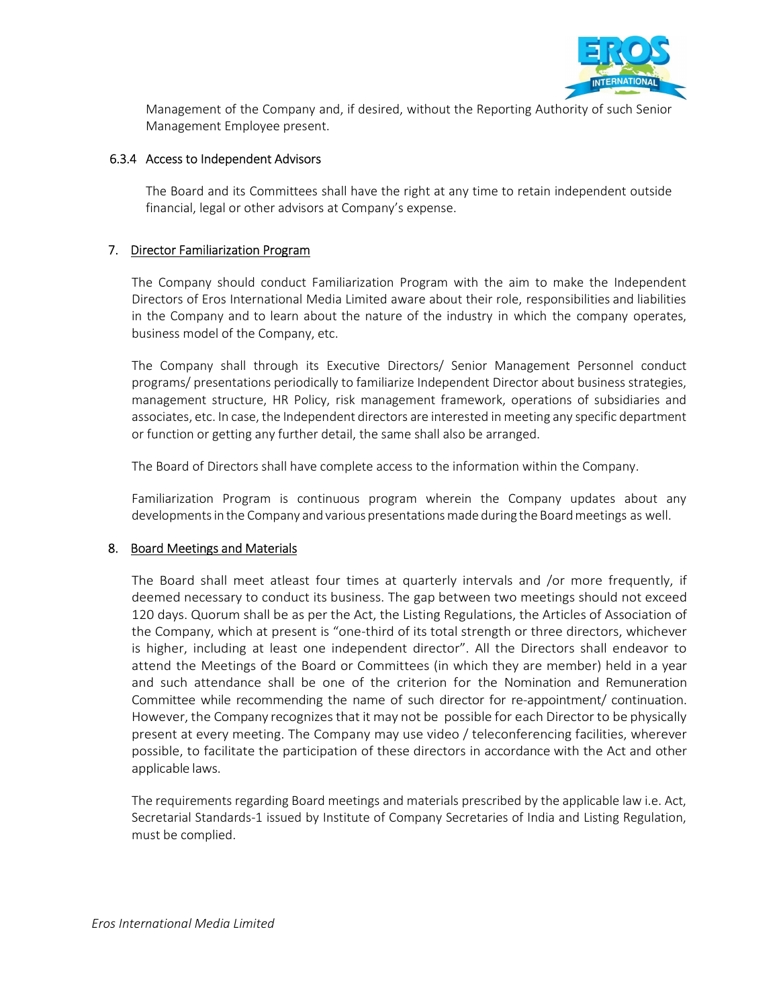

Management of the Company and, if desired, without the Reporting Authority of such Senior Management Employee present.

#### 6.3.4 Access to Independent Advisors

The Board and its Committees shall have the right at any time to retain independent outside financial, legal or other advisors at Company's expense.

#### 7. Director Familiarization Program

The Company should conduct Familiarization Program with the aim to make the Independent Directors of Eros International Media Limited aware about their role, responsibilities and liabilities in the Company and to learn about the nature of the industry in which the company operates, business model of the Company, etc.

The Company shall through its Executive Directors/ Senior Management Personnel conduct programs/ presentations periodically to familiarize Independent Director about business strategies, management structure, HR Policy, risk management framework, operations of subsidiaries and associates, etc. In case, the Independent directors are interested in meeting any specific department or function or getting any further detail, the same shall also be arranged.

The Board of Directors shall have complete access to the information within the Company.

Familiarization Program is continuous program wherein the Company updates about any developments in the Company and various presentations made during the Board meetings as well.

# 8. Board Meetings and Materials

The Board shall meet atleast four times at quarterly intervals and /or more frequently, if deemed necessary to conduct its business. The gap between two meetings should not exceed 120 days. Quorum shall be as per the Act, the Listing Regulations, the Articles of Association of the Company, which at present is "one-third of its total strength or three directors, whichever is higher, including at least one independent director". All the Directors shall endeavor to attend the Meetings of the Board or Committees (in which they are member) held in a year and such attendance shall be one of the criterion for the Nomination and Remuneration Committee while recommending the name of such director for re-appointment/ continuation. However, the Company recognizes that it may not be possible for each Director to be physically present at every meeting. The Company may use video / teleconferencing facilities, wherever possible, to facilitate the participation of these directors in accordance with the Act and other applicable laws.

The requirements regarding Board meetings and materials prescribed by the applicable law i.e. Act, Secretarial Standards-1 issued by Institute of Company Secretaries of India and Listing Regulation, must be complied.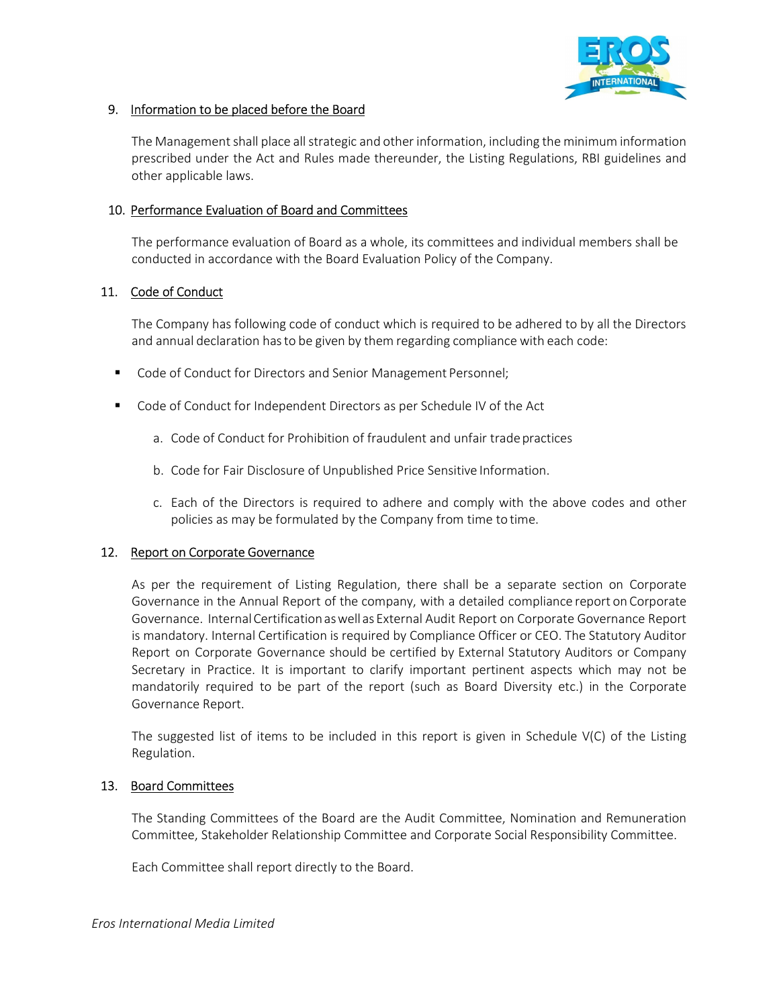

# 9. Information to be placed before the Board

The Management shall place all strategic and other information, including the minimum information prescribed under the Act and Rules made thereunder, the Listing Regulations, RBI guidelines and other applicable laws.

# 10. Performance Evaluation of Board and Committees

The performance evaluation of Board as a whole, its committees and individual members shall be conducted in accordance with the Board Evaluation Policy of the Company.

## 11. Code of Conduct

The Company has following code of conduct which is required to be adhered to by all the Directors and annual declaration has to be given by them regarding compliance with each code:

- Code of Conduct for Directors and Senior Management Personnel;
- **Code of Conduct for Independent Directors as per Schedule IV of the Act** 
	- a. Code of Conduct for Prohibition of fraudulent and unfair trade practices
	- b. Code for Fair Disclosure of Unpublished Price Sensitive Information.
	- c. Each of the Directors is required to adhere and comply with the above codes and other policies as may be formulated by the Company from time to time.

#### 12. Report on Corporate Governance

As per the requirement of Listing Regulation, there shall be a separate section on Corporate Governance in the Annual Report of the company, with a detailed compliance report on Corporate Governance. Internal Certification as well as External Audit Report on Corporate Governance Report is mandatory. Internal Certification is required by Compliance Officer or CEO. The Statutory Auditor Report on Corporate Governance should be certified by External Statutory Auditors or Company Secretary in Practice. It is important to clarify important pertinent aspects which may not be mandatorily required to be part of the report (such as Board Diversity etc.) in the Corporate Governance Report.

The suggested list of items to be included in this report is given in Schedule V(C) of the Listing Regulation.

#### 13. Board Committees

The Standing Committees of the Board are the Audit Committee, Nomination and Remuneration Committee, Stakeholder Relationship Committee and Corporate Social Responsibility Committee.

Each Committee shall report directly to the Board.